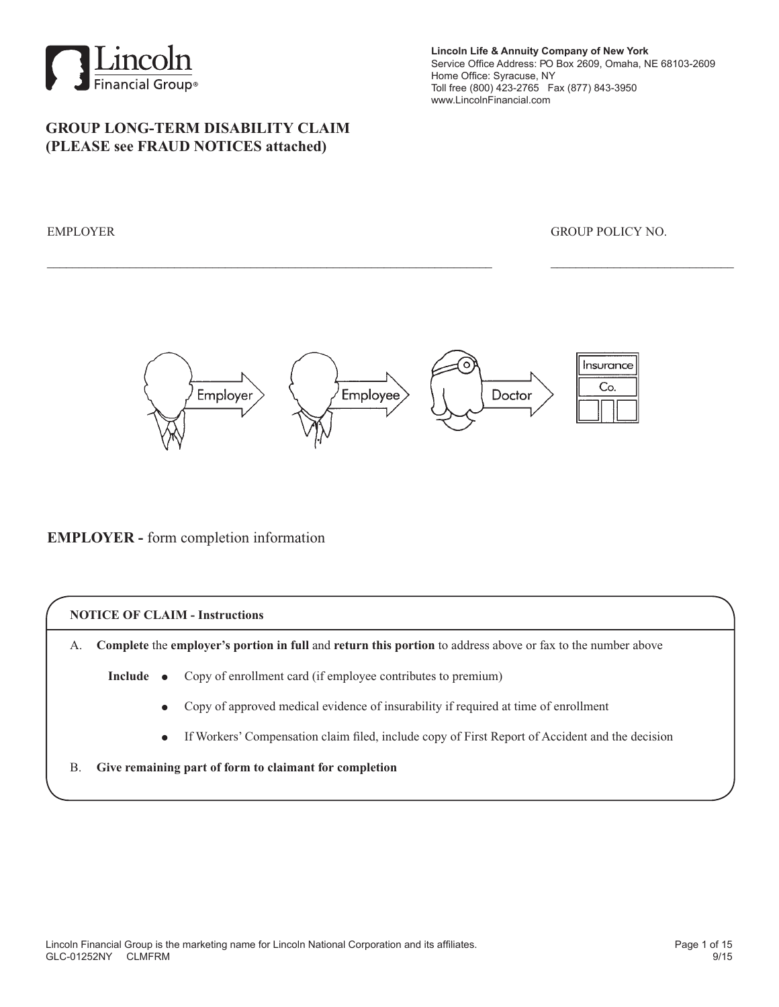

## **GROUP LONG-TERM DISABILITY CLAIM (PLEASE see FRAUD NOTICES attached)**

**Lincoln Life & Annuity Company of New York** Service Office Address: PO Box 2609, Omaha, NE 68103-2609 Home Office: Syracuse, NY Toll free (800) 423-2765 Fax (877) 843-3950 www.LincolnFinancial.com

#### EMPLOYER GROUP POLICY NO.



\_\_\_\_\_\_\_\_\_\_\_\_\_\_\_\_\_\_\_\_\_\_\_\_\_\_\_\_\_\_\_\_\_\_\_\_\_\_\_\_\_\_\_\_\_\_\_\_\_\_\_\_\_\_\_\_\_\_\_\_\_\_\_\_\_\_\_\_\_\_ \_\_\_\_\_\_\_\_\_\_\_\_\_\_\_\_\_\_\_\_\_\_\_\_\_\_\_\_\_

### **EMPLOYER -** form completion information

#### **NOTICE OF CLAIM - Instructions**

A. **Complete** the **employer's portion in full** and **return this portion** to address above or fax to the number above

- **Include** Copy of enrollment card (if employee contributes to premium)
	- <sup>d</sup> Copy of approved medical evidence of insurability if required at time of enrollment
	- If Workers' Compensation claim filed, include copy of First Report of Accident and the decision
- B. **Give remaining part of form to claimant for completion**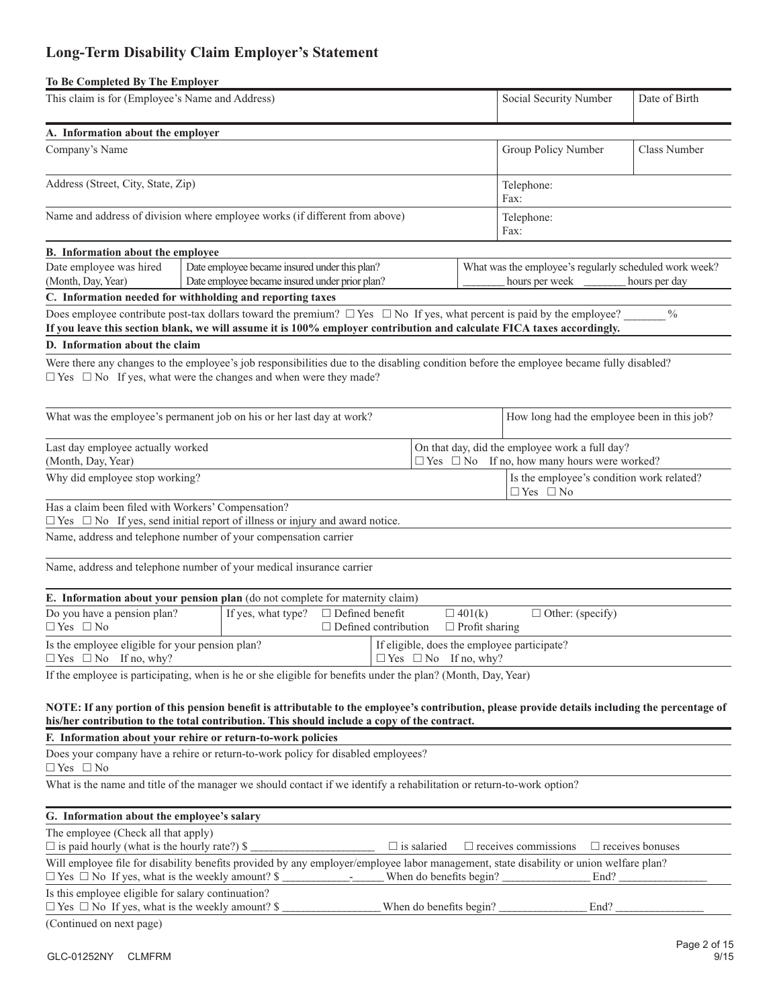# **Long-Term Disability Claim Employer's Statement**

| To Be Completed By The Employer                                                                                                                                                                                                                            |                                                                                                 |                    |                                                                          |                                  |                                        |                                                                                                           |  |                         |
|------------------------------------------------------------------------------------------------------------------------------------------------------------------------------------------------------------------------------------------------------------|-------------------------------------------------------------------------------------------------|--------------------|--------------------------------------------------------------------------|----------------------------------|----------------------------------------|-----------------------------------------------------------------------------------------------------------|--|-------------------------|
| This claim is for (Employee's Name and Address)                                                                                                                                                                                                            |                                                                                                 |                    |                                                                          |                                  |                                        | Social Security Number                                                                                    |  | Date of Birth           |
| A. Information about the employer                                                                                                                                                                                                                          |                                                                                                 |                    |                                                                          |                                  |                                        |                                                                                                           |  |                         |
| Company's Name                                                                                                                                                                                                                                             |                                                                                                 |                    |                                                                          |                                  |                                        | Group Policy Number                                                                                       |  | <b>Class Number</b>     |
| Address (Street, City, State, Zip)                                                                                                                                                                                                                         |                                                                                                 | Telephone:<br>Fax: |                                                                          |                                  |                                        |                                                                                                           |  |                         |
| Name and address of division where employee works (if different from above)                                                                                                                                                                                |                                                                                                 |                    |                                                                          |                                  |                                        | Telephone:<br>Fax:                                                                                        |  |                         |
| B. Information about the employee                                                                                                                                                                                                                          |                                                                                                 |                    |                                                                          |                                  |                                        |                                                                                                           |  |                         |
| Date employee was hired<br>(Month, Day, Year)                                                                                                                                                                                                              | Date employee became insured under this plan?<br>Date employee became insured under prior plan? |                    | What was the employee's regularly scheduled work week?<br>hours per week |                                  | hours per day                          |                                                                                                           |  |                         |
| C. Information needed for withholding and reporting taxes                                                                                                                                                                                                  |                                                                                                 |                    |                                                                          |                                  |                                        |                                                                                                           |  |                         |
| Does employee contribute post-tax dollars toward the premium? $\Box$ Yes $\Box$ No If yes, what percent is paid by the employee?<br>If you leave this section blank, we will assume it is 100% employer contribution and calculate FICA taxes accordingly. |                                                                                                 |                    |                                                                          |                                  |                                        |                                                                                                           |  | $\%$                    |
| D. Information about the claim                                                                                                                                                                                                                             |                                                                                                 |                    |                                                                          |                                  |                                        |                                                                                                           |  |                         |
| Were there any changes to the employee's job responsibilities due to the disabling condition before the employee became fully disabled?<br>$\Box$ Yes $\Box$ No If yes, what were the changes and when were they made?                                     |                                                                                                 |                    |                                                                          |                                  |                                        |                                                                                                           |  |                         |
| What was the employee's permanent job on his or her last day at work?                                                                                                                                                                                      |                                                                                                 |                    |                                                                          |                                  |                                        | How long had the employee been in this job?                                                               |  |                         |
| Last day employee actually worked<br>(Month, Day, Year)                                                                                                                                                                                                    |                                                                                                 |                    |                                                                          |                                  |                                        | On that day, did the employee work a full day?<br>$\Box$ Yes $\Box$ No If no, how many hours were worked? |  |                         |
| Why did employee stop working?                                                                                                                                                                                                                             |                                                                                                 |                    |                                                                          |                                  |                                        | Is the employee's condition work related?<br>$\Box$ Yes $\Box$ No                                         |  |                         |
| Has a claim been filed with Workers' Compensation?<br>$\Box$ Yes $\Box$ No If yes, send initial report of illness or injury and award notice.                                                                                                              |                                                                                                 |                    |                                                                          |                                  |                                        |                                                                                                           |  |                         |
| Name, address and telephone number of your compensation carrier                                                                                                                                                                                            |                                                                                                 |                    |                                                                          |                                  |                                        |                                                                                                           |  |                         |
| Name, address and telephone number of your medical insurance carrier                                                                                                                                                                                       |                                                                                                 |                    |                                                                          |                                  |                                        |                                                                                                           |  |                         |
| E. Information about your pension plan (do not complete for maternity claim)                                                                                                                                                                               |                                                                                                 |                    |                                                                          |                                  |                                        |                                                                                                           |  |                         |
| Do you have a pension plan?<br>$\Box$ Yes $\Box$ No                                                                                                                                                                                                        |                                                                                                 | If yes, what type? | $\Box$ Defined benefit<br>$\Box$ Defined contribution                    |                                  | $\Box$ 401(k)<br>$\Box$ Profit sharing | $\Box$ Other: (specify)                                                                                   |  |                         |
| Is the employee eligible for your pension plan?<br>$\Box$ Yes $\Box$ No If no, why?                                                                                                                                                                        |                                                                                                 |                    |                                                                          | $\Box$ Yes $\Box$ No If no, why? |                                        | If eligible, does the employee participate?                                                               |  |                         |
| If the employee is participating, when is he or she eligible for benefits under the plan? (Month, Day, Year)                                                                                                                                               |                                                                                                 |                    |                                                                          |                                  |                                        |                                                                                                           |  |                         |
| NOTE: If any portion of this pension benefit is attributable to the employee's contribution, please provide details including the percentage of<br>his/her contribution to the total contribution. This should include a copy of the contract.             |                                                                                                 |                    |                                                                          |                                  |                                        |                                                                                                           |  |                         |
| F. Information about your rehire or return-to-work policies                                                                                                                                                                                                |                                                                                                 |                    |                                                                          |                                  |                                        |                                                                                                           |  |                         |
| Does your company have a rehire or return-to-work policy for disabled employees?<br>$\Box$ Yes $\Box$ No                                                                                                                                                   |                                                                                                 |                    |                                                                          |                                  |                                        |                                                                                                           |  |                         |
| What is the name and title of the manager we should contact if we identify a rehabilitation or return-to-work option?                                                                                                                                      |                                                                                                 |                    |                                                                          |                                  |                                        |                                                                                                           |  |                         |
| G. Information about the employee's salary                                                                                                                                                                                                                 |                                                                                                 |                    |                                                                          |                                  |                                        |                                                                                                           |  |                         |
| The employee (Check all that apply)<br>$\Box$ is paid hourly (what is the hourly rate?) \$                                                                                                                                                                 |                                                                                                 |                    |                                                                          | $\Box$ is salaried               |                                        | $\Box$ receives commissions                                                                               |  | $\Box$ receives bonuses |
| Will employee file for disability benefits provided by any employer/employee labor management, state disability or union welfare plan?<br>$\Box$ Yes $\Box$ No If yes, what is the weekly amount? \$                                                       |                                                                                                 |                    |                                                                          |                                  |                                        | When do benefits begin?<br>End?                                                                           |  |                         |
| Is this employee eligible for salary continuation?<br>$\Box$ Yes $\Box$ No If yes, what is the weekly amount? \$                                                                                                                                           |                                                                                                 |                    |                                                                          | When do benefits begin?          |                                        | End?                                                                                                      |  |                         |
| (Continued on next page)                                                                                                                                                                                                                                   |                                                                                                 |                    |                                                                          |                                  |                                        |                                                                                                           |  |                         |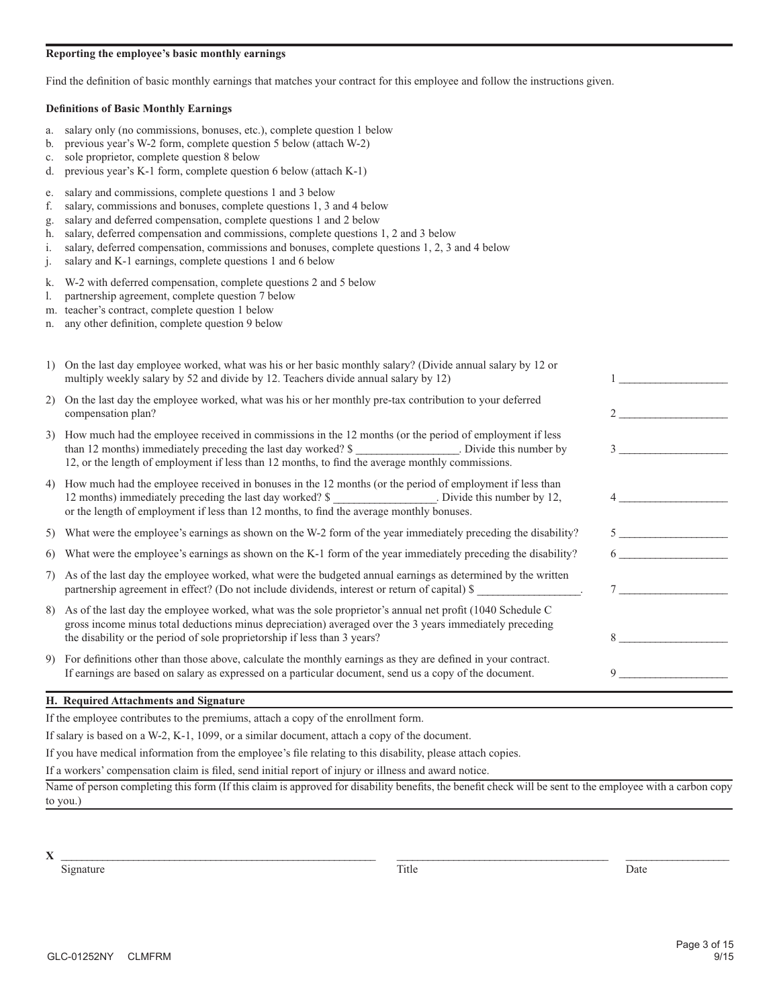#### **Reporting the employee's basic monthly earnings**

Find the definition of basic monthly earnings that matches your contract for this employee and follow the instructions given.

#### **Definitions of Basic Monthly Earnings**

- a. salary only (no commissions, bonuses, etc.), complete question 1 below
- b. previous year's W-2 form, complete question 5 below (attach W-2)
- c. sole proprietor, complete question 8 below
- d. previous year's K-1 form, complete question 6 below (attach K-1)
- e. salary and commissions, complete questions 1 and 3 below
- f. salary, commissions and bonuses, complete questions 1, 3 and 4 below
- g. salary and deferred compensation, complete questions 1 and 2 below
- h. salary, deferred compensation and commissions, complete questions 1, 2 and 3 below
- i. salary, deferred compensation, commissions and bonuses, complete questions 1, 2, 3 and 4 below
- j. salary and K-1 earnings, complete questions 1 and 6 below
- k. W-2 with deferred compensation, complete questions 2 and 5 below
- l. partnership agreement, complete question 7 below
- m. teacher's contract, complete question 1 below
- n. any other definition, complete question 9 below

|    | On the last day employee worked, what was his or her basic monthly salary? (Divide annual salary by 12 or<br>multiply weekly salary by 52 and divide by 12. Teachers divide annual salary by 12)                                                                                                         |   |
|----|----------------------------------------------------------------------------------------------------------------------------------------------------------------------------------------------------------------------------------------------------------------------------------------------------------|---|
| 2) | On the last day the employee worked, what was his or her monthly pre-tax contribution to your deferred<br>compensation plan?                                                                                                                                                                             |   |
|    | 3) How much had the employee received in commissions in the 12 months (or the period of employment if less<br>than 12 months) immediately preceding the last day worked? \$<br>Divide this number by<br>12, or the length of employment if less than 12 months, to find the average monthly commissions. |   |
|    | 4) How much had the employee received in bonuses in the 12 months (or the period of employment if less than<br>12 months) immediately preceding the last day worked? \$<br>or the length of employment if less than 12 months, to find the average monthly bonuses.                                      |   |
| 5) | What were the employee's earnings as shown on the W-2 form of the year immediately preceding the disability?                                                                                                                                                                                             |   |
| 6) | What were the employee's earnings as shown on the K-1 form of the year immediately preceding the disability?                                                                                                                                                                                             |   |
|    | 7) As of the last day the employee worked, what were the budgeted annual earnings as determined by the written<br>partnership agreement in effect? (Do not include dividends, interest or return of capital) \$                                                                                          |   |
|    | 8) As of the last day the employee worked, what was the sole proprietor's annual net profit (1040 Schedule C<br>gross income minus total deductions minus depreciation) averaged over the 3 years immediately preceding<br>the disability or the period of sole proprietorship if less than 3 years?     | 8 |
|    | 9) For definitions other than those above, calculate the monthly earnings as they are defined in your contract.<br>If earnings are based on salary as expressed on a particular document, send us a copy of the document.                                                                                | 9 |
|    |                                                                                                                                                                                                                                                                                                          |   |

#### **H. Required Attachments and Signature**

If the employee contributes to the premiums, attach a copy of the enrollment form.

If salary is based on a W-2, K-1, 1099, or a similar document, attach a copy of the document.

If you have medical information from the employee's file relating to this disability, please attach copies.

If a workers' compensation claim is filed, send initial report of injury or illness and award notice.

Name of person completing this form (If this claim is approved for disability benefits, the benefit check will be sent to the employee with a carbon copy to you.)

**X** \_\_\_\_\_\_\_\_\_\_\_\_\_\_\_\_\_\_\_\_\_\_\_\_\_\_\_\_\_\_\_\_\_\_\_\_\_\_\_\_\_\_\_\_\_\_\_\_\_\_\_\_\_\_\_\_\_\_\_\_\_ \_\_\_\_\_\_\_\_\_\_\_\_\_\_\_\_\_\_\_\_\_\_\_\_\_\_\_\_\_\_\_\_\_\_\_\_\_\_\_\_\_ \_\_\_\_\_\_\_\_\_\_\_\_\_\_\_\_\_\_\_\_

Signature Date Date Date of the Second Library and Title Date Date Date Date Date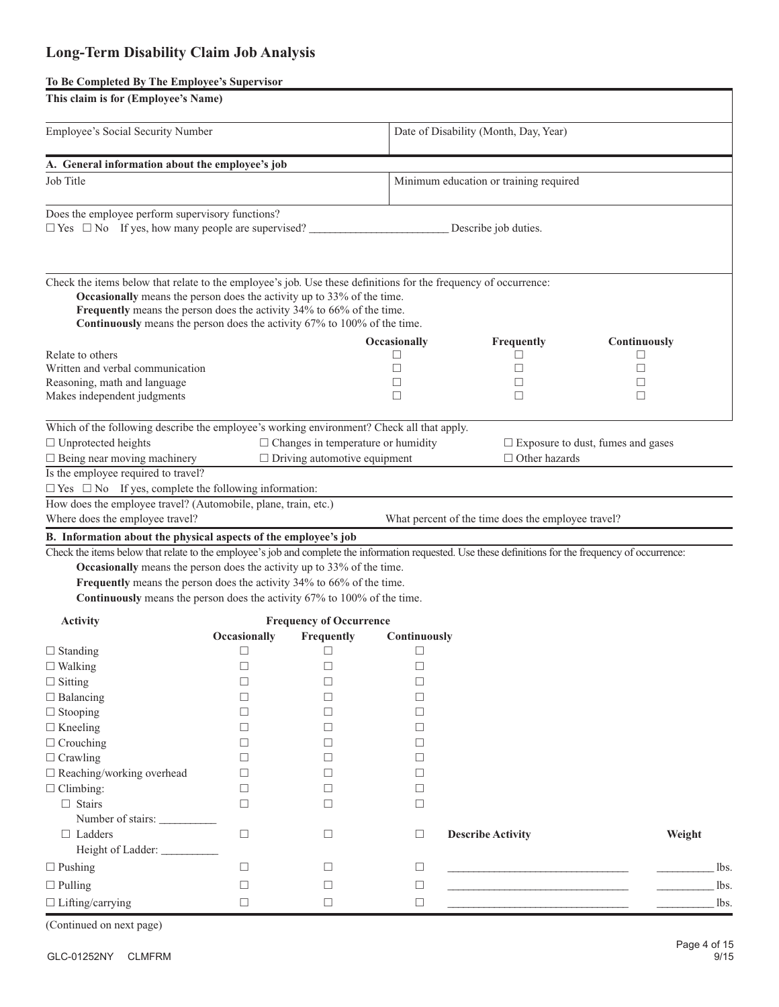# **Long-Term Disability Claim Job Analysis**

### **To Be Completed By The Employee's Supervisor**

| This claim is for (Employee's Name)                                                                                                                                                                                                                                                                                                            |              |                                     |              |                                                    |              |  |  |  |  |
|------------------------------------------------------------------------------------------------------------------------------------------------------------------------------------------------------------------------------------------------------------------------------------------------------------------------------------------------|--------------|-------------------------------------|--------------|----------------------------------------------------|--------------|--|--|--|--|
| Employee's Social Security Number                                                                                                                                                                                                                                                                                                              |              |                                     |              | Date of Disability (Month, Day, Year)              |              |  |  |  |  |
| A. General information about the employee's job                                                                                                                                                                                                                                                                                                |              |                                     |              |                                                    |              |  |  |  |  |
| Job Title                                                                                                                                                                                                                                                                                                                                      |              |                                     |              | Minimum education or training required             |              |  |  |  |  |
| Does the employee perform supervisory functions?<br>$\Box$ Yes $\Box$ No If yes, how many people are supervised?                                                                                                                                                                                                                               |              |                                     |              | Describe job duties.                               |              |  |  |  |  |
| Check the items below that relate to the employee's job. Use these definitions for the frequency of occurrence:<br>Occasionally means the person does the activity up to 33% of the time.<br>Frequently means the person does the activity 34% to 66% of the time.<br>Continuously means the person does the activity 67% to 100% of the time. |              |                                     |              |                                                    |              |  |  |  |  |
|                                                                                                                                                                                                                                                                                                                                                |              |                                     | Occasionally | Frequently                                         | Continuously |  |  |  |  |
| Relate to others                                                                                                                                                                                                                                                                                                                               |              |                                     | □            | □                                                  | H            |  |  |  |  |
| Written and verbal communication<br>Reasoning, math and language                                                                                                                                                                                                                                                                               |              |                                     | П<br>П       | $\Box$<br>□                                        | П            |  |  |  |  |
| Makes independent judgments                                                                                                                                                                                                                                                                                                                    |              |                                     | □            | $\Box$                                             | □<br>□       |  |  |  |  |
|                                                                                                                                                                                                                                                                                                                                                |              |                                     |              |                                                    |              |  |  |  |  |
| Which of the following describe the employee's working environment? Check all that apply.<br>$\Box$ Changes in temperature or humidity<br>$\Box$ Unprotected heights<br>$\Box$ Exposure to dust, fumes and gases                                                                                                                               |              |                                     |              |                                                    |              |  |  |  |  |
| $\Box$ Being near moving machinery                                                                                                                                                                                                                                                                                                             |              | $\Box$ Driving automotive equipment |              | $\Box$ Other hazards                               |              |  |  |  |  |
| Is the employee required to travel?                                                                                                                                                                                                                                                                                                            |              |                                     |              |                                                    |              |  |  |  |  |
| $\Box$ Yes $\Box$ No If yes, complete the following information:<br>How does the employee travel? (Automobile, plane, train, etc.)                                                                                                                                                                                                             |              |                                     |              |                                                    |              |  |  |  |  |
| Where does the employee travel?                                                                                                                                                                                                                                                                                                                |              |                                     |              | What percent of the time does the employee travel? |              |  |  |  |  |
|                                                                                                                                                                                                                                                                                                                                                |              |                                     |              |                                                    |              |  |  |  |  |
| B. Information about the physical aspects of the employee's job<br>Check the items below that relate to the employee's job and complete the information requested. Use these definitions for the frequency of occurrence:                                                                                                                      |              |                                     |              |                                                    |              |  |  |  |  |
| Occasionally means the person does the activity up to 33% of the time.                                                                                                                                                                                                                                                                         |              |                                     |              |                                                    |              |  |  |  |  |
| Frequently means the person does the activity 34% to 66% of the time.                                                                                                                                                                                                                                                                          |              |                                     |              |                                                    |              |  |  |  |  |
| Continuously means the person does the activity 67% to 100% of the time.                                                                                                                                                                                                                                                                       |              |                                     |              |                                                    |              |  |  |  |  |
|                                                                                                                                                                                                                                                                                                                                                |              |                                     |              |                                                    |              |  |  |  |  |
| <b>Activity</b>                                                                                                                                                                                                                                                                                                                                |              | <b>Frequency of Occurrence</b>      |              |                                                    |              |  |  |  |  |
|                                                                                                                                                                                                                                                                                                                                                | Occasionally | Frequently                          | Continuously |                                                    |              |  |  |  |  |
| $\Box$ Standing                                                                                                                                                                                                                                                                                                                                | □            | □                                   | $\Box$       |                                                    |              |  |  |  |  |
| $\square$ Walking                                                                                                                                                                                                                                                                                                                              | $\Box$       | $\Box$                              | □            |                                                    |              |  |  |  |  |
| $\Box$ Sitting                                                                                                                                                                                                                                                                                                                                 | П            | □                                   | П            |                                                    |              |  |  |  |  |
| $\Box$ Balancing                                                                                                                                                                                                                                                                                                                               | П            | □                                   | □            |                                                    |              |  |  |  |  |
| $\Box$ Stooping                                                                                                                                                                                                                                                                                                                                | П            | □                                   | □            |                                                    |              |  |  |  |  |
| $\Box$ Kneeling                                                                                                                                                                                                                                                                                                                                | П            | □                                   | □            |                                                    |              |  |  |  |  |
| $\Box$ Crouching                                                                                                                                                                                                                                                                                                                               | П            | □                                   | □            |                                                    |              |  |  |  |  |
| $\Box$ Crawling                                                                                                                                                                                                                                                                                                                                | П            | □                                   | □            |                                                    |              |  |  |  |  |
| $\Box$ Reaching/working overhead                                                                                                                                                                                                                                                                                                               | П            | □                                   | □            |                                                    |              |  |  |  |  |
| $\Box$ Climbing:                                                                                                                                                                                                                                                                                                                               | П            | □                                   | □            |                                                    |              |  |  |  |  |
| $\Box$ Stairs                                                                                                                                                                                                                                                                                                                                  | □            | □                                   | $\Box$       |                                                    |              |  |  |  |  |
| Number of stairs:                                                                                                                                                                                                                                                                                                                              | $\Box$       |                                     |              |                                                    |              |  |  |  |  |
| $\Box$ Ladders                                                                                                                                                                                                                                                                                                                                 |              | □                                   | □            | <b>Describe Activity</b>                           | Weight       |  |  |  |  |
| Height of Ladder: ___________                                                                                                                                                                                                                                                                                                                  |              |                                     |              |                                                    |              |  |  |  |  |
| $\Box$ Pushing                                                                                                                                                                                                                                                                                                                                 | □            | □                                   | □            |                                                    | lbs.         |  |  |  |  |
| $\Box$ Pulling                                                                                                                                                                                                                                                                                                                                 | □            | □                                   | □            |                                                    | lbs.         |  |  |  |  |
| $\Box$ Lifting/carrying                                                                                                                                                                                                                                                                                                                        | □            | $\Box$                              | $\Box$       |                                                    | lbs.         |  |  |  |  |
| (Continued on next page)                                                                                                                                                                                                                                                                                                                       |              |                                     |              |                                                    |              |  |  |  |  |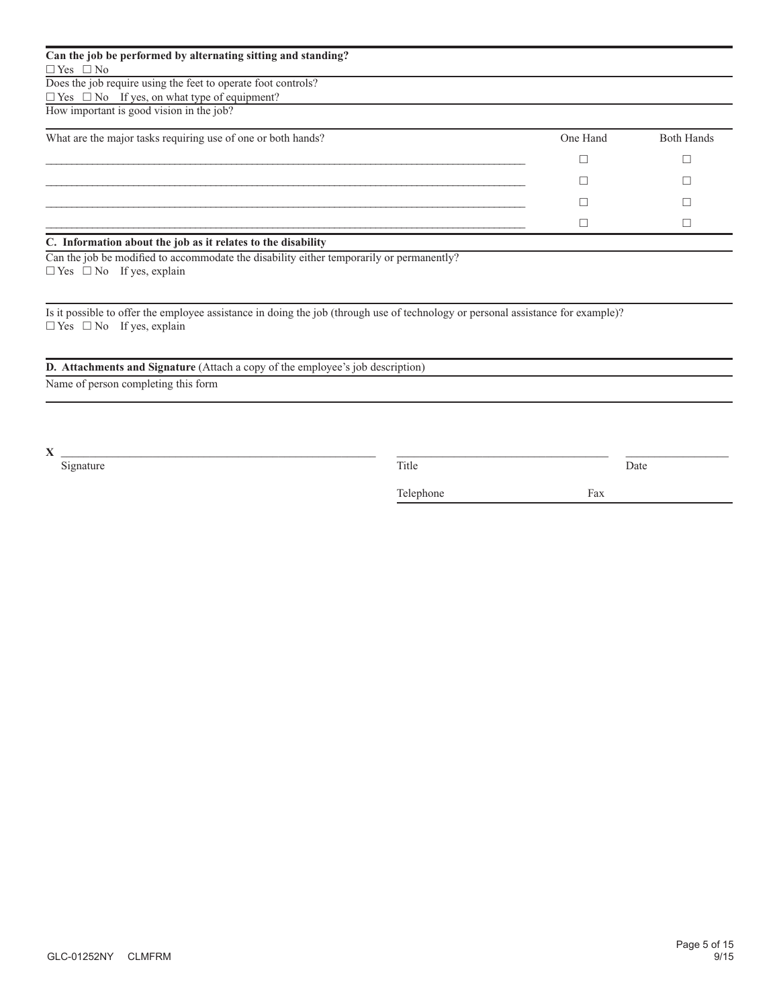| Can the job be performed by alternating sitting and standing?   |          |                   |
|-----------------------------------------------------------------|----------|-------------------|
| $\Box$ Yes $\Box$ No                                            |          |                   |
| Does the job require using the feet to operate foot controls?   |          |                   |
| $\Box$ Yes $\Box$ No If yes, on what type of equipment?         |          |                   |
| How important is good vision in the job?                        |          |                   |
| What are the major tasks requiring use of one or both hands?    | One Hand | <b>Both Hands</b> |
|                                                                 |          |                   |
|                                                                 |          |                   |
|                                                                 |          |                   |
|                                                                 |          |                   |
| $C$ . Information about the job on it velates to the disability |          |                   |

#### **C. Information about the job as it relates to the disability**

Can the job be modified to accommodate the disability either temporarily or permanently?  $\Box$  Yes  $\Box$  No If yes, explain

Is it possible to offer the employee assistance in doing the job (through use of technology or personal assistance for example)?  $\square$  <br> Yes  $\square$  <br> No If yes, explain

### **D. Attachments and Signature** (Attach a copy of the employee's job description)

Name of person completing this form

**X** \_\_\_\_\_\_\_\_\_\_\_\_\_\_\_\_\_\_\_\_\_\_\_\_\_\_\_\_\_\_\_\_\_\_\_\_\_\_\_\_\_\_\_\_\_\_\_\_\_\_\_\_\_\_\_ \_\_\_\_\_\_\_\_\_\_\_\_\_\_\_\_\_\_\_\_\_\_\_\_\_\_\_\_\_\_\_\_\_\_\_\_\_ \_\_\_\_\_\_\_\_\_\_\_\_\_\_\_\_\_\_

Signature Date Date Date of the Second Library and Title Date Date Date Date Date

Telephone Fax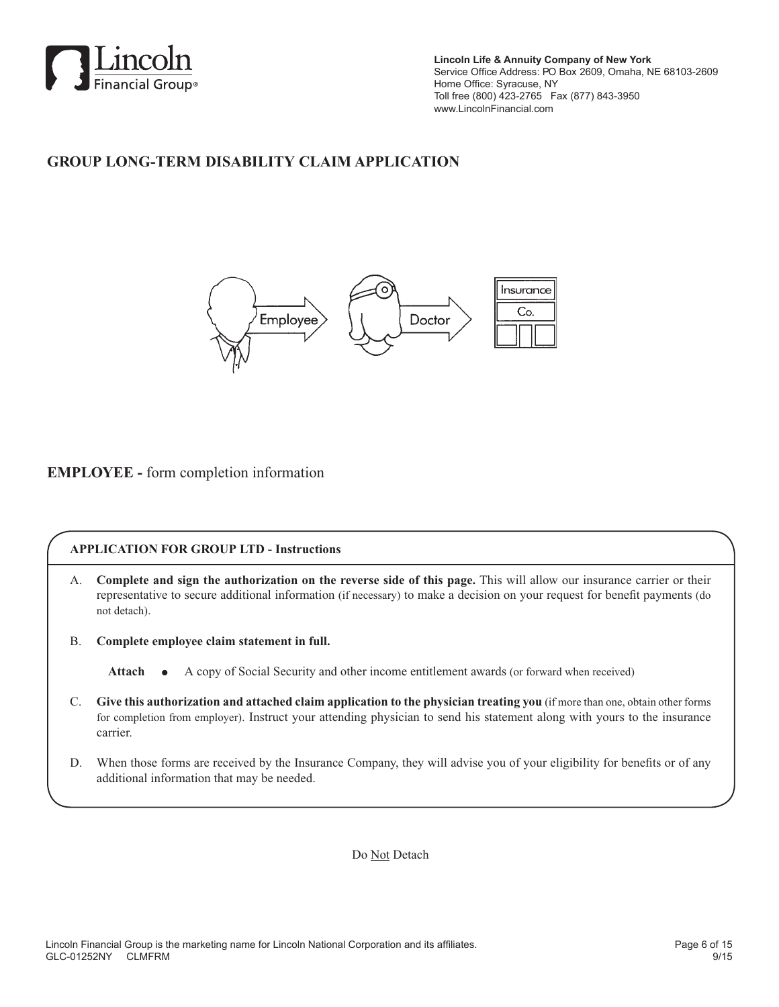

**Lincoln Life & Annuity Company of New York** Service Office Address: PO Box 2609, Omaha, NE 68103-2609 Home Office: Syracuse, NY Toll free (800) 423-2765 Fax (877) 843-3950 www.LincolnFinancial.com

# **GROUP LONG-TERM DISABILITY CLAIM APPLICATION**



## **EMPLOYEE -** form completion information

### **APPLICATION FOR GROUP LTD - Instructions**

- A. **Complete and sign the authorization on the reverse side of this page.** This will allow our insurance carrier or their representative to secure additional information (if necessary) to make a decision on your request for benefit payments (do not detach).
- B. **Complete employee claim statement in full.**

Attach  $\bullet$  A copy of Social Security and other income entitlement awards (or forward when received)

- C. **Give this authorization and attached claim application to the physician treating you** (if more than one, obtain other forms for completion from employer). Instruct your attending physician to send his statement along with yours to the insurance carrier.
- D. When those forms are received by the Insurance Company, they will advise you of your eligibility for benefits or of any additional information that may be needed.

Do Not Detach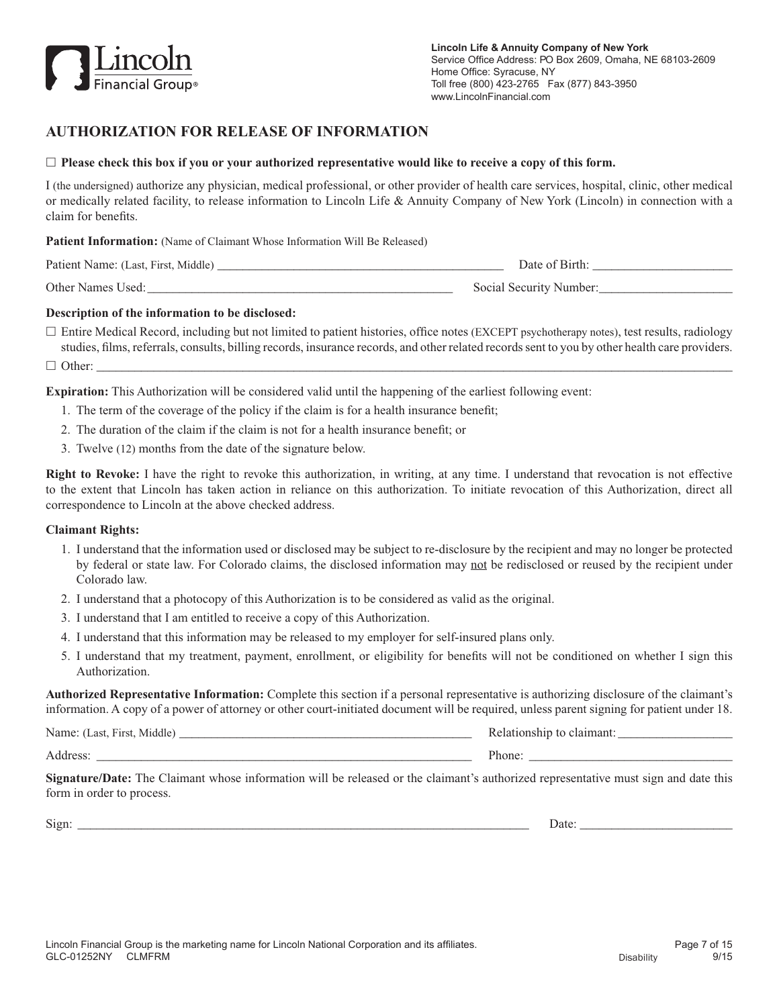

## **AUTHORIZATION FOR RELEASE OF INFORMATION**

#### $\Box$  **Please check this box if you or your authorized representative would like to receive a copy of this form.**

I (the undersigned) authorize any physician, medical professional, or other provider of health care services, hospital, clinic, other medical or medically related facility, to release information to Lincoln Life & Annuity Company of New York (Lincoln) in connection with a claim for benefits.

Patient Information: (Name of Claimant Whose Information Will Be Released)

| Patient Name: (Last, First, Middle) | Date of Birth:          |
|-------------------------------------|-------------------------|
| Other Names Used:                   | Social Security Number: |

#### **Description of the information to be disclosed:**

 $\Box$  Entire Medical Record, including but not limited to patient histories, office notes (EXCEPT psychotherapy notes), test results, radiology studies, films, referrals, consults, billing records, insurance records, and other related records sent to you by other health care providers.

h Other: \_\_\_\_\_\_\_\_\_\_\_\_\_\_\_\_\_\_\_\_\_\_\_\_\_\_\_\_\_\_\_\_\_\_\_\_\_\_\_\_\_\_\_\_\_\_\_\_\_\_\_\_\_\_\_\_\_\_\_\_\_\_\_\_\_\_\_\_\_\_\_\_\_\_\_\_\_\_\_\_\_\_\_\_\_\_\_\_\_\_\_\_\_\_\_\_\_\_\_\_

**Expiration:** This Authorization will be considered valid until the happening of the earliest following event:

- 1. The term of the coverage of the policy if the claim is for a health insurance benefit;
- 2. The duration of the claim if the claim is not for a health insurance benefit; or
- 3. Twelve (12) months from the date of the signature below.

**Right to Revoke:** I have the right to revoke this authorization, in writing, at any time. I understand that revocation is not effective to the extent that Lincoln has taken action in reliance on this authorization. To initiate revocation of this Authorization, direct all correspondence to Lincoln at the above checked address.

#### **Claimant Rights:**

- 1. I understand that the information used or disclosed may be subject to re-disclosure by the recipient and may no longer be protected by federal or state law. For Colorado claims, the disclosed information may not be redisclosed or reused by the recipient under Colorado law.
- 2. I understand that a photocopy of this Authorization is to be considered as valid as the original.
- 3. I understand that I am entitled to receive a copy of this Authorization.
- 4. I understand that this information may be released to my employer for self-insured plans only.
- 5. I understand that my treatment, payment, enrollment, or eligibility for benefits will not be conditioned on whether I sign this Authorization.

**Authorized Representative Information:** Complete this section if a personal representative is authorizing disclosure of the claimant's information. A copy of a power of attorney or other court-initiated document will be required, unless parent signing for patient under 18.

Name: (Last, First, Middle) \_\_\_\_\_\_\_\_\_\_\_\_\_\_\_\_\_\_\_\_\_\_\_\_\_\_\_\_\_\_\_\_\_\_\_\_\_\_\_\_\_\_\_\_\_\_ Relationship to claimant: \_\_\_\_\_\_\_\_\_\_\_\_\_\_\_\_\_\_ Address: \_\_\_\_\_\_\_\_\_\_\_\_\_\_\_\_\_\_\_\_\_\_\_\_\_\_\_\_\_\_\_\_\_\_\_\_\_\_\_\_\_\_\_\_\_\_\_\_\_\_\_\_\_\_\_\_\_\_\_ Phone: \_\_\_\_\_\_\_\_\_\_\_\_\_\_\_\_\_\_\_\_\_\_\_\_\_\_\_\_\_\_\_\_

**Signature/Date:** The Claimant whose information will be released or the claimant's authorized representative must sign and date this form in order to process.

Sign: \_\_\_\_\_\_\_\_\_\_\_\_\_\_\_\_\_\_\_\_\_\_\_\_\_\_\_\_\_\_\_\_\_\_\_\_\_\_\_\_\_\_\_\_\_\_\_\_\_\_\_\_\_\_\_\_\_\_\_\_\_\_\_\_\_\_\_\_\_\_\_ Date: \_\_\_\_\_\_\_\_\_\_\_\_\_\_\_\_\_\_\_\_\_\_\_\_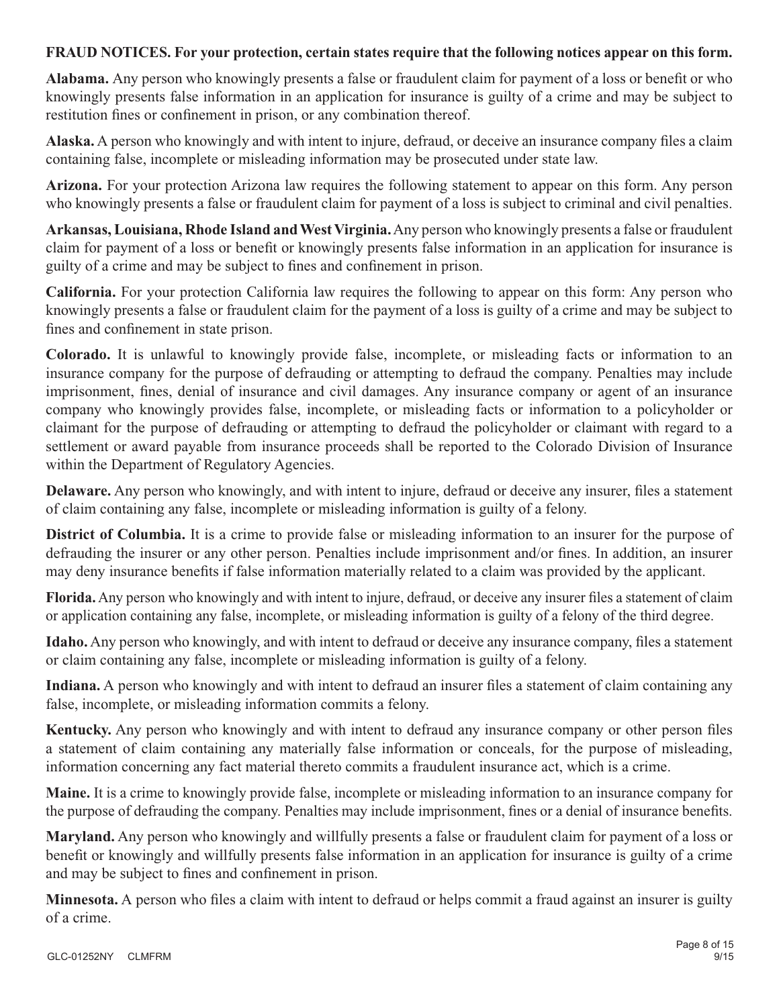## **FRAUD NOTICES. For your protection, certain states require that the following notices appear on this form.**

**Alabama.** Any person who knowingly presents a false or fraudulent claim for payment of a loss or benefit or who knowingly presents false information in an application for insurance is guilty of a crime and may be subject to restitution fines or confinement in prison, or any combination thereof.

**Alaska.** A person who knowingly and with intent to injure, defraud, or deceive an insurance company files a claim containing false, incomplete or misleading information may be prosecuted under state law.

**Arizona.** For your protection Arizona law requires the following statement to appear on this form. Any person who knowingly presents a false or fraudulent claim for payment of a loss is subject to criminal and civil penalties.

**Arkansas, Louisiana, Rhode Island and West Virginia.** Any person who knowingly presents a false or fraudulent claim for payment of a loss or benefit or knowingly presents false information in an application for insurance is guilty of a crime and may be subject to fines and confinement in prison.

**California.** For your protection California law requires the following to appear on this form: Any person who knowingly presents a false or fraudulent claim for the payment of a loss is guilty of a crime and may be subject to fines and confinement in state prison.

**Colorado.** It is unlawful to knowingly provide false, incomplete, or misleading facts or information to an insurance company for the purpose of defrauding or attempting to defraud the company. Penalties may include imprisonment, fines, denial of insurance and civil damages. Any insurance company or agent of an insurance company who knowingly provides false, incomplete, or misleading facts or information to a policyholder or claimant for the purpose of defrauding or attempting to defraud the policyholder or claimant with regard to a settlement or award payable from insurance proceeds shall be reported to the Colorado Division of Insurance within the Department of Regulatory Agencies.

**Delaware.** Any person who knowingly, and with intent to injure, defraud or deceive any insurer, files a statement of claim containing any false, incomplete or misleading information is guilty of a felony.

**District of Columbia.** It is a crime to provide false or misleading information to an insurer for the purpose of defrauding the insurer or any other person. Penalties include imprisonment and/or fines. In addition, an insurer may deny insurance benefits if false information materially related to a claim was provided by the applicant.

**Florida.** Any person who knowingly and with intent to injure, defraud, or deceive any insurer files a statement of claim or application containing any false, incomplete, or misleading information is guilty of a felony of the third degree.

**Idaho.** Any person who knowingly, and with intent to defraud or deceive any insurance company, files a statement or claim containing any false, incomplete or misleading information is guilty of a felony.

**Indiana.** A person who knowingly and with intent to defraud an insurer files a statement of claim containing any false, incomplete, or misleading information commits a felony.

**Kentucky.** Any person who knowingly and with intent to defraud any insurance company or other person files a statement of claim containing any materially false information or conceals, for the purpose of misleading, information concerning any fact material thereto commits a fraudulent insurance act, which is a crime.

**Maine.** It is a crime to knowingly provide false, incomplete or misleading information to an insurance company for the purpose of defrauding the company. Penalties may include imprisonment, fines or a denial of insurance benefits.

**Maryland.** Any person who knowingly and willfully presents a false or fraudulent claim for payment of a loss or benefit or knowingly and willfully presents false information in an application for insurance is guilty of a crime and may be subject to fines and confinement in prison.

**Minnesota.** A person who files a claim with intent to defraud or helps commit a fraud against an insurer is guilty of a crime.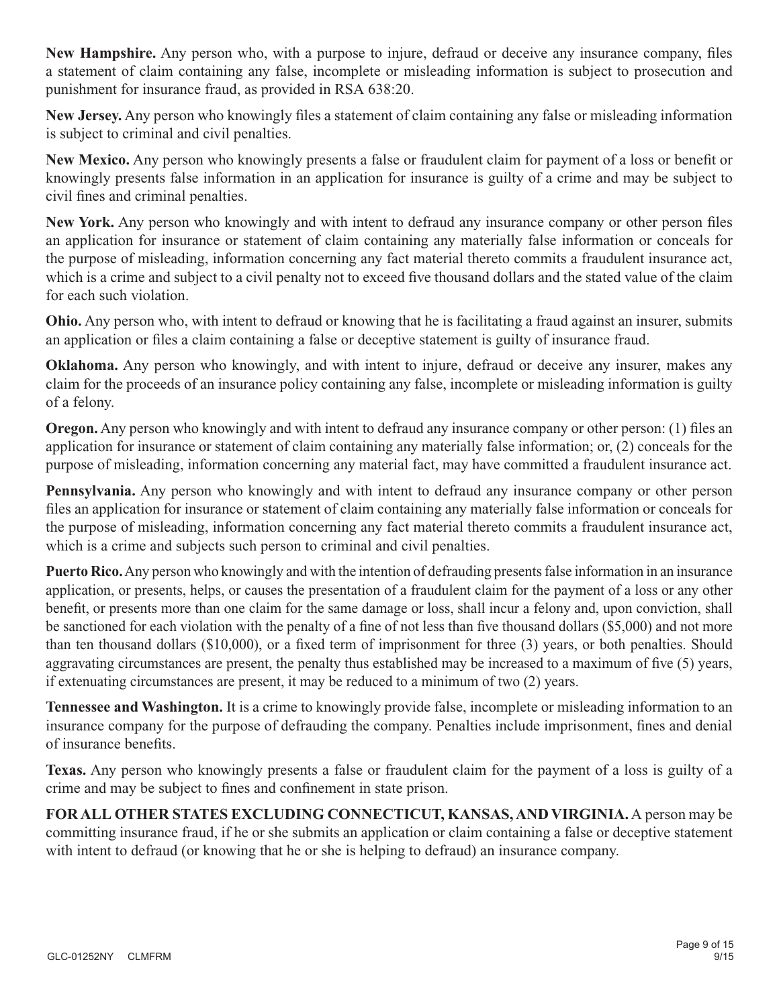**New Hampshire.** Any person who, with a purpose to injure, defraud or deceive any insurance company, files a statement of claim containing any false, incomplete or misleading information is subject to prosecution and punishment for insurance fraud, as provided in RSA 638:20.

**New Jersey.** Any person who knowingly files a statement of claim containing any false or misleading information is subject to criminal and civil penalties.

**New Mexico.** Any person who knowingly presents a false or fraudulent claim for payment of a loss or benefit or knowingly presents false information in an application for insurance is guilty of a crime and may be subject to civil fines and criminal penalties.

**New York.** Any person who knowingly and with intent to defraud any insurance company or other person files an application for insurance or statement of claim containing any materially false information or conceals for the purpose of misleading, information concerning any fact material thereto commits a fraudulent insurance act, which is a crime and subject to a civil penalty not to exceed five thousand dollars and the stated value of the claim for each such violation.

**Ohio.** Any person who, with intent to defraud or knowing that he is facilitating a fraud against an insurer, submits an application or files a claim containing a false or deceptive statement is guilty of insurance fraud.

**Oklahoma.** Any person who knowingly, and with intent to injure, defraud or deceive any insurer, makes any claim for the proceeds of an insurance policy containing any false, incomplete or misleading information is guilty of a felony.

**Oregon.** Any person who knowingly and with intent to defraud any insurance company or other person: (1) files an application for insurance or statement of claim containing any materially false information; or, (2) conceals for the purpose of misleading, information concerning any material fact, may have committed a fraudulent insurance act.

**Pennsylvania.** Any person who knowingly and with intent to defraud any insurance company or other person files an application for insurance or statement of claim containing any materially false information or conceals for the purpose of misleading, information concerning any fact material thereto commits a fraudulent insurance act, which is a crime and subjects such person to criminal and civil penalties.

**Puerto Rico.** Any person who knowingly and with the intention of defrauding presents false information in an insurance application, or presents, helps, or causes the presentation of a fraudulent claim for the payment of a loss or any other benefit, or presents more than one claim for the same damage or loss, shall incur a felony and, upon conviction, shall be sanctioned for each violation with the penalty of a fine of not less than five thousand dollars (\$5,000) and not more than ten thousand dollars (\$10,000), or a fixed term of imprisonment for three (3) years, or both penalties. Should aggravating circumstances are present, the penalty thus established may be increased to a maximum of five (5) years, if extenuating circumstances are present, it may be reduced to a minimum of two (2) years.

**Tennessee and Washington.** It is a crime to knowingly provide false, incomplete or misleading information to an insurance company for the purpose of defrauding the company. Penalties include imprisonment, fines and denial of insurance benefits.

**Texas.** Any person who knowingly presents a false or fraudulent claim for the payment of a loss is guilty of a crime and may be subject to fines and confinement in state prison.

**FOR ALL OTHER STATES EXCLUDING CONNECTICUT, KANSAS, AND VIRGINIA.** A person may be committing insurance fraud, if he or she submits an application or claim containing a false or deceptive statement with intent to defraud (or knowing that he or she is helping to defraud) an insurance company.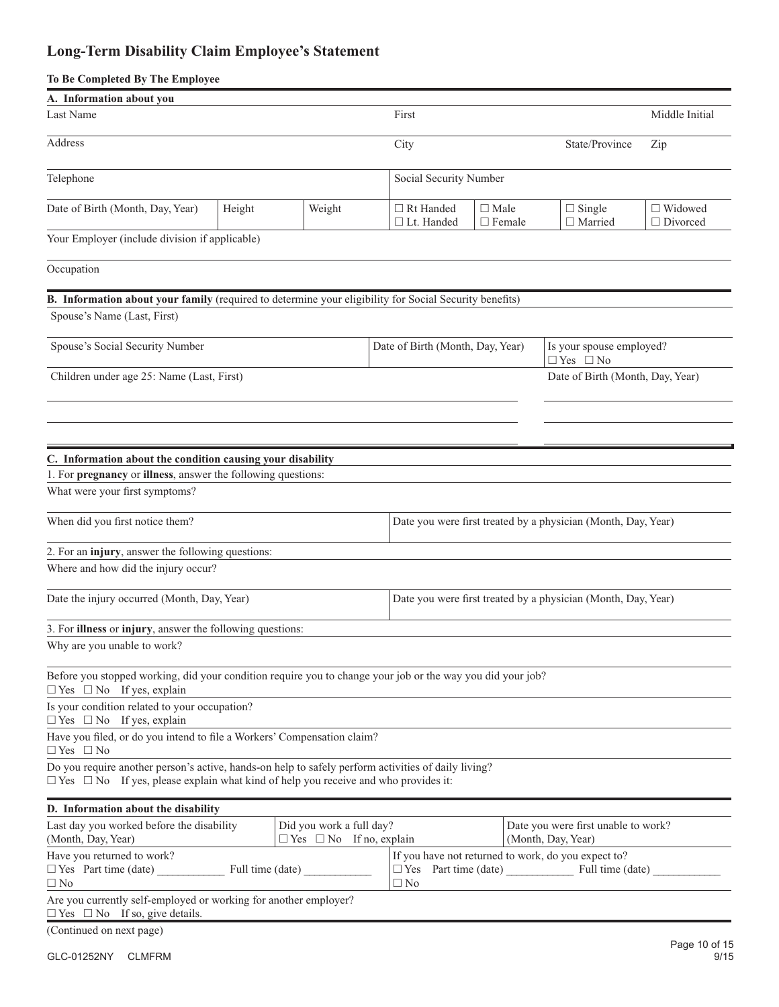# **Long-Term Disability Claim Employee's Statement**

### **To Be Completed By The Employee**

| A. Information about you                                                                                                                                                                              |                                                                 |        |  |                                                               |                                 |  |                                                  |                                   |
|-------------------------------------------------------------------------------------------------------------------------------------------------------------------------------------------------------|-----------------------------------------------------------------|--------|--|---------------------------------------------------------------|---------------------------------|--|--------------------------------------------------|-----------------------------------|
| Last Name                                                                                                                                                                                             |                                                                 |        |  | First                                                         | Middle Initial                  |  |                                                  |                                   |
| Address                                                                                                                                                                                               |                                                                 |        |  | City                                                          | Zip                             |  |                                                  |                                   |
| Telephone                                                                                                                                                                                             |                                                                 |        |  | Social Security Number                                        |                                 |  |                                                  |                                   |
| Date of Birth (Month, Day, Year)                                                                                                                                                                      | Height                                                          | Weight |  | $\Box$ Rt Handed<br>$\Box$ Lt. Handed                         | $\square$ Male<br>$\Box$ Female |  | $\Box$ Single<br>$\Box$ Married                  | $\Box$ Widowed<br>$\Box$ Divorced |
| Your Employer (include division if applicable)                                                                                                                                                        |                                                                 |        |  |                                                               |                                 |  |                                                  |                                   |
| Occupation                                                                                                                                                                                            |                                                                 |        |  |                                                               |                                 |  |                                                  |                                   |
| B. Information about your family (required to determine your eligibility for Social Security benefits)                                                                                                |                                                                 |        |  |                                                               |                                 |  |                                                  |                                   |
| Spouse's Name (Last, First)                                                                                                                                                                           |                                                                 |        |  |                                                               |                                 |  |                                                  |                                   |
| Spouse's Social Security Number                                                                                                                                                                       |                                                                 |        |  | Date of Birth (Month, Day, Year)                              |                                 |  | Is your spouse employed?<br>$\Box$ Yes $\Box$ No |                                   |
| Children under age 25: Name (Last, First)                                                                                                                                                             |                                                                 |        |  |                                                               |                                 |  | Date of Birth (Month, Day, Year)                 |                                   |
| C. Information about the condition causing your disability<br>1. For pregnancy or illness, answer the following questions:<br>What were your first symptoms?                                          |                                                                 |        |  |                                                               |                                 |  |                                                  |                                   |
| When did you first notice them?                                                                                                                                                                       |                                                                 |        |  | Date you were first treated by a physician (Month, Day, Year) |                                 |  |                                                  |                                   |
| 2. For an injury, answer the following questions:                                                                                                                                                     |                                                                 |        |  |                                                               |                                 |  |                                                  |                                   |
| Where and how did the injury occur?                                                                                                                                                                   |                                                                 |        |  |                                                               |                                 |  |                                                  |                                   |
| Date the injury occurred (Month, Day, Year)                                                                                                                                                           |                                                                 |        |  | Date you were first treated by a physician (Month, Day, Year) |                                 |  |                                                  |                                   |
| 3. For illness or injury, answer the following questions:                                                                                                                                             |                                                                 |        |  |                                                               |                                 |  |                                                  |                                   |
| Why are you unable to work?                                                                                                                                                                           |                                                                 |        |  |                                                               |                                 |  |                                                  |                                   |
| Before you stopped working, did your condition require you to change your job or the way you did your job?<br>$\Box$ Yes $\Box$ No If yes, explain                                                    |                                                                 |        |  |                                                               |                                 |  |                                                  |                                   |
| Is your condition related to your occupation?<br>$\Box$ Yes $\Box$ No If yes, explain                                                                                                                 |                                                                 |        |  |                                                               |                                 |  |                                                  |                                   |
| Have you filed, or do you intend to file a Workers' Compensation claim?<br>$\Box$ Yes $\Box$ No                                                                                                       |                                                                 |        |  |                                                               |                                 |  |                                                  |                                   |
| Do you require another person's active, hands-on help to safely perform activities of daily living?<br>$\Box$ Yes $\Box$ No If yes, please explain what kind of help you receive and who provides it: |                                                                 |        |  |                                                               |                                 |  |                                                  |                                   |
| D. Information about the disability                                                                                                                                                                   |                                                                 |        |  |                                                               |                                 |  |                                                  |                                   |
| Last day you worked before the disability<br>(Month, Day, Year)                                                                                                                                       | Did you work a full day?<br>$\Box$ Yes $\Box$ No If no, explain |        |  | Date you were first unable to work?<br>(Month, Day, Year)     |                                 |  |                                                  |                                   |

| (Month, Day, Year)                                               | $\Box$ Yes $\Box$ No If no, explain |           |                             | (Month, Day, Year)                                  |  |  |  |
|------------------------------------------------------------------|-------------------------------------|-----------|-----------------------------|-----------------------------------------------------|--|--|--|
| Have you returned to work?                                       |                                     |           |                             | If you have not returned to work, do you expect to? |  |  |  |
| $\Box$ Yes Part time (date)<br>Full time (date)                  |                                     |           | $\Box$ Yes Part time (date) | Full time (date)                                    |  |  |  |
| $\Box$ No                                                        |                                     | $\Box$ No |                             |                                                     |  |  |  |
| Are you currently self-employed or working for another employer? |                                     |           |                             |                                                     |  |  |  |
| $\Box$ Yes $\Box$ No If so, give details.                        |                                     |           |                             |                                                     |  |  |  |

(Continued on next page)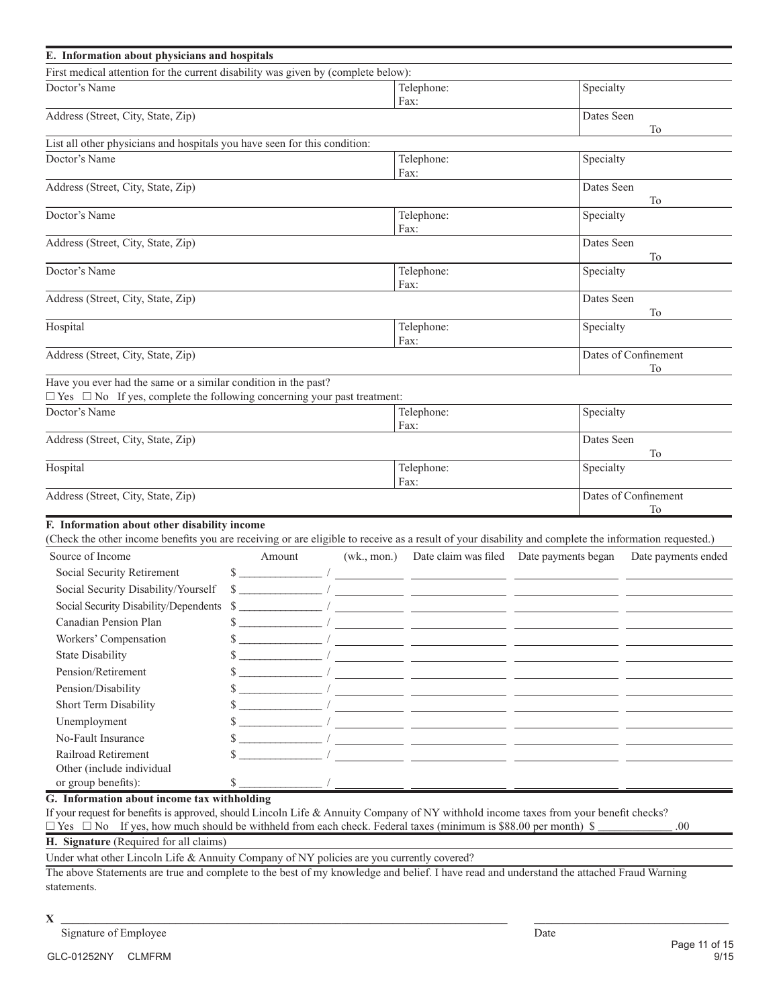|                                                                           | First medical attention for the current disability was given by (complete below): |                      |                                                                                                                                                                                                   | Specialty                                                                                                                                                                                                                                                                                                                                                                                                                                                                                                                                                                                                                                            |                                                                                                                                                                                                                                                                                                                                                                                                                                                                                                                                                                                                                                                                                                                                                                                                                                                                                                                                                          |  |  |  |  |
|---------------------------------------------------------------------------|-----------------------------------------------------------------------------------|----------------------|---------------------------------------------------------------------------------------------------------------------------------------------------------------------------------------------------|------------------------------------------------------------------------------------------------------------------------------------------------------------------------------------------------------------------------------------------------------------------------------------------------------------------------------------------------------------------------------------------------------------------------------------------------------------------------------------------------------------------------------------------------------------------------------------------------------------------------------------------------------|----------------------------------------------------------------------------------------------------------------------------------------------------------------------------------------------------------------------------------------------------------------------------------------------------------------------------------------------------------------------------------------------------------------------------------------------------------------------------------------------------------------------------------------------------------------------------------------------------------------------------------------------------------------------------------------------------------------------------------------------------------------------------------------------------------------------------------------------------------------------------------------------------------------------------------------------------------|--|--|--|--|
|                                                                           |                                                                                   |                      |                                                                                                                                                                                                   |                                                                                                                                                                                                                                                                                                                                                                                                                                                                                                                                                                                                                                                      |                                                                                                                                                                                                                                                                                                                                                                                                                                                                                                                                                                                                                                                                                                                                                                                                                                                                                                                                                          |  |  |  |  |
|                                                                           |                                                                                   |                      | Telephone:<br>Fax:                                                                                                                                                                                |                                                                                                                                                                                                                                                                                                                                                                                                                                                                                                                                                                                                                                                      |                                                                                                                                                                                                                                                                                                                                                                                                                                                                                                                                                                                                                                                                                                                                                                                                                                                                                                                                                          |  |  |  |  |
| Address (Street, City, State, Zip)                                        |                                                                                   |                      |                                                                                                                                                                                                   |                                                                                                                                                                                                                                                                                                                                                                                                                                                                                                                                                                                                                                                      |                                                                                                                                                                                                                                                                                                                                                                                                                                                                                                                                                                                                                                                                                                                                                                                                                                                                                                                                                          |  |  |  |  |
| List all other physicians and hospitals you have seen for this condition: |                                                                                   |                      |                                                                                                                                                                                                   |                                                                                                                                                                                                                                                                                                                                                                                                                                                                                                                                                                                                                                                      |                                                                                                                                                                                                                                                                                                                                                                                                                                                                                                                                                                                                                                                                                                                                                                                                                                                                                                                                                          |  |  |  |  |
|                                                                           |                                                                                   | Telephone:<br>Fax:   |                                                                                                                                                                                                   | Specialty                                                                                                                                                                                                                                                                                                                                                                                                                                                                                                                                                                                                                                            |                                                                                                                                                                                                                                                                                                                                                                                                                                                                                                                                                                                                                                                                                                                                                                                                                                                                                                                                                          |  |  |  |  |
|                                                                           |                                                                                   |                      |                                                                                                                                                                                                   | Dates Seen                                                                                                                                                                                                                                                                                                                                                                                                                                                                                                                                                                                                                                           | To                                                                                                                                                                                                                                                                                                                                                                                                                                                                                                                                                                                                                                                                                                                                                                                                                                                                                                                                                       |  |  |  |  |
|                                                                           |                                                                                   |                      |                                                                                                                                                                                                   | Specialty                                                                                                                                                                                                                                                                                                                                                                                                                                                                                                                                                                                                                                            |                                                                                                                                                                                                                                                                                                                                                                                                                                                                                                                                                                                                                                                                                                                                                                                                                                                                                                                                                          |  |  |  |  |
|                                                                           |                                                                                   |                      |                                                                                                                                                                                                   | Dates Seen                                                                                                                                                                                                                                                                                                                                                                                                                                                                                                                                                                                                                                           | To                                                                                                                                                                                                                                                                                                                                                                                                                                                                                                                                                                                                                                                                                                                                                                                                                                                                                                                                                       |  |  |  |  |
|                                                                           |                                                                                   |                      |                                                                                                                                                                                                   | Specialty                                                                                                                                                                                                                                                                                                                                                                                                                                                                                                                                                                                                                                            |                                                                                                                                                                                                                                                                                                                                                                                                                                                                                                                                                                                                                                                                                                                                                                                                                                                                                                                                                          |  |  |  |  |
|                                                                           |                                                                                   |                      |                                                                                                                                                                                                   | Dates Seen                                                                                                                                                                                                                                                                                                                                                                                                                                                                                                                                                                                                                                           | To                                                                                                                                                                                                                                                                                                                                                                                                                                                                                                                                                                                                                                                                                                                                                                                                                                                                                                                                                       |  |  |  |  |
|                                                                           |                                                                                   |                      |                                                                                                                                                                                                   | Specialty                                                                                                                                                                                                                                                                                                                                                                                                                                                                                                                                                                                                                                            |                                                                                                                                                                                                                                                                                                                                                                                                                                                                                                                                                                                                                                                                                                                                                                                                                                                                                                                                                          |  |  |  |  |
|                                                                           |                                                                                   |                      |                                                                                                                                                                                                   | Dates of Confinement<br>To                                                                                                                                                                                                                                                                                                                                                                                                                                                                                                                                                                                                                           |                                                                                                                                                                                                                                                                                                                                                                                                                                                                                                                                                                                                                                                                                                                                                                                                                                                                                                                                                          |  |  |  |  |
| Have you ever had the same or a similar condition in the past?            |                                                                                   |                      |                                                                                                                                                                                                   |                                                                                                                                                                                                                                                                                                                                                                                                                                                                                                                                                                                                                                                      |                                                                                                                                                                                                                                                                                                                                                                                                                                                                                                                                                                                                                                                                                                                                                                                                                                                                                                                                                          |  |  |  |  |
|                                                                           |                                                                                   |                      |                                                                                                                                                                                                   | Specialty                                                                                                                                                                                                                                                                                                                                                                                                                                                                                                                                                                                                                                            |                                                                                                                                                                                                                                                                                                                                                                                                                                                                                                                                                                                                                                                                                                                                                                                                                                                                                                                                                          |  |  |  |  |
|                                                                           |                                                                                   |                      |                                                                                                                                                                                                   | Dates Seen<br>To                                                                                                                                                                                                                                                                                                                                                                                                                                                                                                                                                                                                                                     |                                                                                                                                                                                                                                                                                                                                                                                                                                                                                                                                                                                                                                                                                                                                                                                                                                                                                                                                                          |  |  |  |  |
|                                                                           |                                                                                   |                      |                                                                                                                                                                                                   | Specialty                                                                                                                                                                                                                                                                                                                                                                                                                                                                                                                                                                                                                                            |                                                                                                                                                                                                                                                                                                                                                                                                                                                                                                                                                                                                                                                                                                                                                                                                                                                                                                                                                          |  |  |  |  |
|                                                                           |                                                                                   |                      |                                                                                                                                                                                                   |                                                                                                                                                                                                                                                                                                                                                                                                                                                                                                                                                                                                                                                      | Dates of Confinement<br><b>To</b>                                                                                                                                                                                                                                                                                                                                                                                                                                                                                                                                                                                                                                                                                                                                                                                                                                                                                                                        |  |  |  |  |
|                                                                           |                                                                                   |                      |                                                                                                                                                                                                   |                                                                                                                                                                                                                                                                                                                                                                                                                                                                                                                                                                                                                                                      |                                                                                                                                                                                                                                                                                                                                                                                                                                                                                                                                                                                                                                                                                                                                                                                                                                                                                                                                                          |  |  |  |  |
|                                                                           |                                                                                   |                      |                                                                                                                                                                                                   |                                                                                                                                                                                                                                                                                                                                                                                                                                                                                                                                                                                                                                                      | Date payments ended                                                                                                                                                                                                                                                                                                                                                                                                                                                                                                                                                                                                                                                                                                                                                                                                                                                                                                                                      |  |  |  |  |
|                                                                           |                                                                                   |                      |                                                                                                                                                                                                   |                                                                                                                                                                                                                                                                                                                                                                                                                                                                                                                                                                                                                                                      |                                                                                                                                                                                                                                                                                                                                                                                                                                                                                                                                                                                                                                                                                                                                                                                                                                                                                                                                                          |  |  |  |  |
|                                                                           |                                                                                   |                      |                                                                                                                                                                                                   |                                                                                                                                                                                                                                                                                                                                                                                                                                                                                                                                                                                                                                                      |                                                                                                                                                                                                                                                                                                                                                                                                                                                                                                                                                                                                                                                                                                                                                                                                                                                                                                                                                          |  |  |  |  |
|                                                                           |                                                                                   |                      |                                                                                                                                                                                                   |                                                                                                                                                                                                                                                                                                                                                                                                                                                                                                                                                                                                                                                      |                                                                                                                                                                                                                                                                                                                                                                                                                                                                                                                                                                                                                                                                                                                                                                                                                                                                                                                                                          |  |  |  |  |
|                                                                           |                                                                                   |                      |                                                                                                                                                                                                   |                                                                                                                                                                                                                                                                                                                                                                                                                                                                                                                                                                                                                                                      |                                                                                                                                                                                                                                                                                                                                                                                                                                                                                                                                                                                                                                                                                                                                                                                                                                                                                                                                                          |  |  |  |  |
|                                                                           |                                                                                   |                      |                                                                                                                                                                                                   |                                                                                                                                                                                                                                                                                                                                                                                                                                                                                                                                                                                                                                                      |                                                                                                                                                                                                                                                                                                                                                                                                                                                                                                                                                                                                                                                                                                                                                                                                                                                                                                                                                          |  |  |  |  |
|                                                                           |                                                                                   |                      |                                                                                                                                                                                                   |                                                                                                                                                                                                                                                                                                                                                                                                                                                                                                                                                                                                                                                      |                                                                                                                                                                                                                                                                                                                                                                                                                                                                                                                                                                                                                                                                                                                                                                                                                                                                                                                                                          |  |  |  |  |
|                                                                           |                                                                                   |                      |                                                                                                                                                                                                   |                                                                                                                                                                                                                                                                                                                                                                                                                                                                                                                                                                                                                                                      |                                                                                                                                                                                                                                                                                                                                                                                                                                                                                                                                                                                                                                                                                                                                                                                                                                                                                                                                                          |  |  |  |  |
|                                                                           |                                                                                   |                      |                                                                                                                                                                                                   |                                                                                                                                                                                                                                                                                                                                                                                                                                                                                                                                                                                                                                                      |                                                                                                                                                                                                                                                                                                                                                                                                                                                                                                                                                                                                                                                                                                                                                                                                                                                                                                                                                          |  |  |  |  |
|                                                                           |                                                                                   |                      |                                                                                                                                                                                                   |                                                                                                                                                                                                                                                                                                                                                                                                                                                                                                                                                                                                                                                      |                                                                                                                                                                                                                                                                                                                                                                                                                                                                                                                                                                                                                                                                                                                                                                                                                                                                                                                                                          |  |  |  |  |
|                                                                           |                                                                                   |                      |                                                                                                                                                                                                   |                                                                                                                                                                                                                                                                                                                                                                                                                                                                                                                                                                                                                                                      |                                                                                                                                                                                                                                                                                                                                                                                                                                                                                                                                                                                                                                                                                                                                                                                                                                                                                                                                                          |  |  |  |  |
|                                                                           |                                                                                   |                      |                                                                                                                                                                                                   |                                                                                                                                                                                                                                                                                                                                                                                                                                                                                                                                                                                                                                                      |                                                                                                                                                                                                                                                                                                                                                                                                                                                                                                                                                                                                                                                                                                                                                                                                                                                                                                                                                          |  |  |  |  |
|                                                                           |                                                                                   |                      |                                                                                                                                                                                                   |                                                                                                                                                                                                                                                                                                                                                                                                                                                                                                                                                                                                                                                      |                                                                                                                                                                                                                                                                                                                                                                                                                                                                                                                                                                                                                                                                                                                                                                                                                                                                                                                                                          |  |  |  |  |
|                                                                           |                                                                                   |                      |                                                                                                                                                                                                   |                                                                                                                                                                                                                                                                                                                                                                                                                                                                                                                                                                                                                                                      |                                                                                                                                                                                                                                                                                                                                                                                                                                                                                                                                                                                                                                                                                                                                                                                                                                                                                                                                                          |  |  |  |  |
|                                                                           |                                                                                   |                      |                                                                                                                                                                                                   |                                                                                                                                                                                                                                                                                                                                                                                                                                                                                                                                                                                                                                                      |                                                                                                                                                                                                                                                                                                                                                                                                                                                                                                                                                                                                                                                                                                                                                                                                                                                                                                                                                          |  |  |  |  |
|                                                                           |                                                                                   |                      |                                                                                                                                                                                                   |                                                                                                                                                                                                                                                                                                                                                                                                                                                                                                                                                                                                                                                      |                                                                                                                                                                                                                                                                                                                                                                                                                                                                                                                                                                                                                                                                                                                                                                                                                                                                                                                                                          |  |  |  |  |
|                                                                           |                                                                                   | $(wk., \text{mon.})$ | Telephone:<br>Fax:<br>Telephone:<br>Fax:<br>Telephone:<br>Fax:<br>$\Box$ Yes $\Box$ No If yes, complete the following concerning your past treatment:<br>Telephone:<br>Fax:<br>Telephone:<br>Fax: | $\frac{\frac{1}{2} + \frac{1}{2} + \frac{1}{2} + \frac{1}{2} + \frac{1}{2} + \frac{1}{2} + \frac{1}{2} + \frac{1}{2} + \frac{1}{2} + \frac{1}{2} + \frac{1}{2} + \frac{1}{2} + \frac{1}{2} + \frac{1}{2} + \frac{1}{2} + \frac{1}{2} + \frac{1}{2} + \frac{1}{2} + \frac{1}{2} + \frac{1}{2} + \frac{1}{2} + \frac{1}{2} + \frac{1}{2} + \frac{1}{2} + \frac{1}{2} + \frac{1}{2} + \frac{1}{2} + \frac$<br>Social Security Disability/Dependents \$<br><u> 1989 - Johann Marie Barn, mars eta inperiodo</u><br>If your request for benefits is approved, should Lincoln Life & Annuity Company of NY withhold income taxes from your benefit checks? | (Check the other income benefits you are receiving or are eligible to receive as a result of your disability and complete the information requested.)<br>Date claim was filed Date payments began<br>$\frac{1}{2}$ $\frac{1}{2}$ $\frac{1}{2}$ $\frac{1}{2}$ $\frac{1}{2}$ $\frac{1}{2}$ $\frac{1}{2}$ $\frac{1}{2}$ $\frac{1}{2}$ $\frac{1}{2}$ $\frac{1}{2}$ $\frac{1}{2}$ $\frac{1}{2}$ $\frac{1}{2}$ $\frac{1}{2}$ $\frac{1}{2}$ $\frac{1}{2}$ $\frac{1}{2}$ $\frac{1}{2}$ $\frac{1}{2}$ $\frac{1}{2}$ $\frac{1}{2}$<br><u> 1990 - Johann John Stone, mars eta inperiodo eta inperiodo eta inperiodo eta inperiodo eta inperiodo eta inp</u><br><u> 1980 - Andrea Maria Alemania, prima de la provincia de la provincia de la provincia de la provincia de la pr</u><br><u> 1990 - Johann John Stone, mars eta inperiodo eta inperiodo eta inperiodo eta inperiodo eta inperiodo eta inp</u><br><u> 1989 - Johann John Stone, mars et al. (1989)</u> |  |  |  |  |

 $\Box$  Yes  $\Box$  No If yes, how much should be withheld from each check. Federal taxes (minimum is \$88.00 per month) \$

**H. Signature** (Required for all claims)

Under what other Lincoln Life & Annuity Company of NY policies are you currently covered?

The above Statements are true and complete to the best of my knowledge and belief. I have read and understand the attached Fraud Warning statements.

#### $X \xrightarrow{1}$

Signature of Employee Date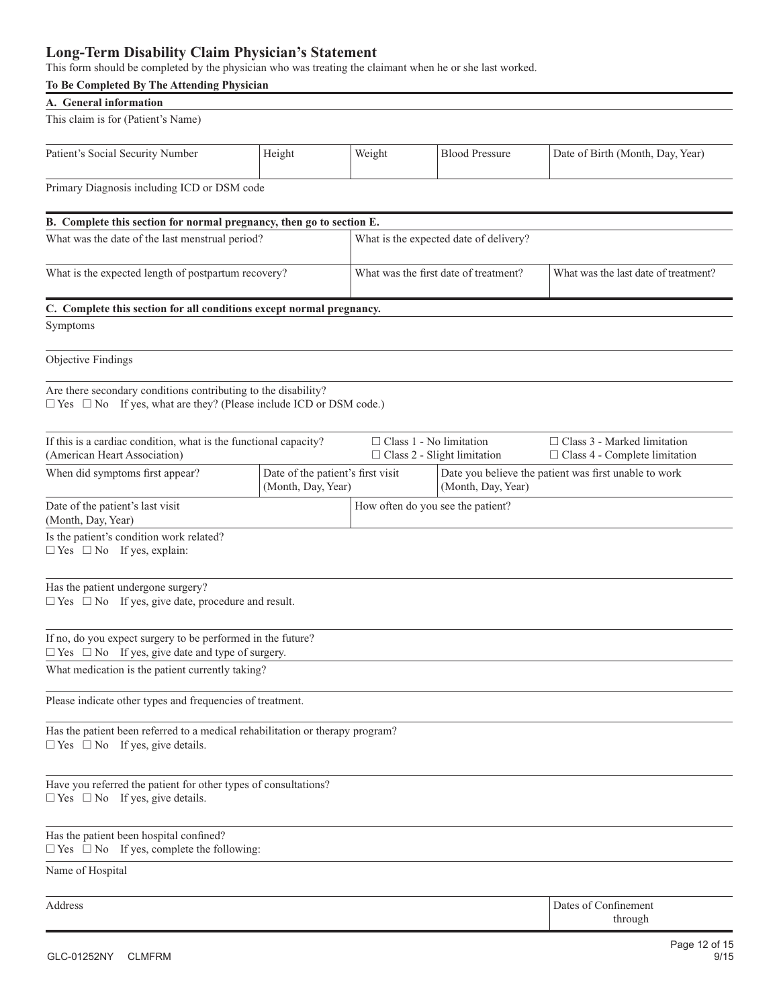## **Long-Term Disability Claim Physician's Statement**

This form should be completed by the physician who was treating the claimant when he or she last worked.

| To Be Completed By The Attending Physician                                                                                                      |                                                         |                                   |                                                       |                                                                            |  |  |  |
|-------------------------------------------------------------------------------------------------------------------------------------------------|---------------------------------------------------------|-----------------------------------|-------------------------------------------------------|----------------------------------------------------------------------------|--|--|--|
| A. General information                                                                                                                          |                                                         |                                   |                                                       |                                                                            |  |  |  |
| This claim is for (Patient's Name)                                                                                                              |                                                         |                                   |                                                       |                                                                            |  |  |  |
| Patient's Social Security Number                                                                                                                | Height                                                  | Weight                            | <b>Blood Pressure</b>                                 | Date of Birth (Month, Day, Year)                                           |  |  |  |
| Primary Diagnosis including ICD or DSM code                                                                                                     |                                                         |                                   |                                                       |                                                                            |  |  |  |
| B. Complete this section for normal pregnancy, then go to section E.                                                                            |                                                         |                                   |                                                       |                                                                            |  |  |  |
| What was the date of the last menstrual period?                                                                                                 |                                                         |                                   | What is the expected date of delivery?                |                                                                            |  |  |  |
|                                                                                                                                                 |                                                         |                                   |                                                       |                                                                            |  |  |  |
| What is the expected length of postpartum recovery?                                                                                             |                                                         |                                   | What was the first date of treatment?                 | What was the last date of treatment?                                       |  |  |  |
| C. Complete this section for all conditions except normal pregnancy.                                                                            |                                                         |                                   |                                                       |                                                                            |  |  |  |
| Symptoms                                                                                                                                        |                                                         |                                   |                                                       |                                                                            |  |  |  |
| <b>Objective Findings</b>                                                                                                                       |                                                         |                                   |                                                       |                                                                            |  |  |  |
| Are there secondary conditions contributing to the disability?<br>$\Box$ Yes $\Box$ No If yes, what are they? (Please include ICD or DSM code.) |                                                         |                                   |                                                       |                                                                            |  |  |  |
| If this is a cardiac condition, what is the functional capacity?<br>(American Heart Association)                                                |                                                         | $\Box$ Class 1 - No limitation    | $\Box$ Class 2 - Slight limitation                    | $\Box$ Class 3 - Marked limitation<br>$\Box$ Class 4 - Complete limitation |  |  |  |
| When did symptoms first appear?                                                                                                                 | Date of the patient's first visit<br>(Month, Day, Year) |                                   | Date you believe the patient was first unable to work |                                                                            |  |  |  |
| Date of the patient's last visit<br>(Month, Day, Year)                                                                                          |                                                         | How often do you see the patient? |                                                       |                                                                            |  |  |  |
| Is the patient's condition work related?<br>$\Box$ Yes $\Box$ No If yes, explain:                                                               |                                                         |                                   |                                                       |                                                                            |  |  |  |
| Has the patient undergone surgery?<br>$\Box$ Yes $\Box$ No If yes, give date, procedure and result.                                             |                                                         |                                   |                                                       |                                                                            |  |  |  |
| If no, do you expect surgery to be performed in the future?<br>$\Box$ Yes $\Box$ No If yes, give date and type of surgery.                      |                                                         |                                   |                                                       |                                                                            |  |  |  |
| What medication is the patient currently taking?                                                                                                |                                                         |                                   |                                                       |                                                                            |  |  |  |
| Please indicate other types and frequencies of treatment.                                                                                       |                                                         |                                   |                                                       |                                                                            |  |  |  |
| Has the patient been referred to a medical rehabilitation or therapy program?<br>$\Box$ Yes $\Box$ No If yes, give details.                     |                                                         |                                   |                                                       |                                                                            |  |  |  |
| Have you referred the patient for other types of consultations?<br>$\Box$ Yes $\Box$ No If yes, give details.                                   |                                                         |                                   |                                                       |                                                                            |  |  |  |
| Has the patient been hospital confined?<br>$\Box$ Yes $\Box$ No If yes, complete the following:                                                 |                                                         |                                   |                                                       |                                                                            |  |  |  |
| Name of Hospital                                                                                                                                |                                                         |                                   |                                                       |                                                                            |  |  |  |
| Address                                                                                                                                         |                                                         |                                   |                                                       | Dates of Confinement<br>through                                            |  |  |  |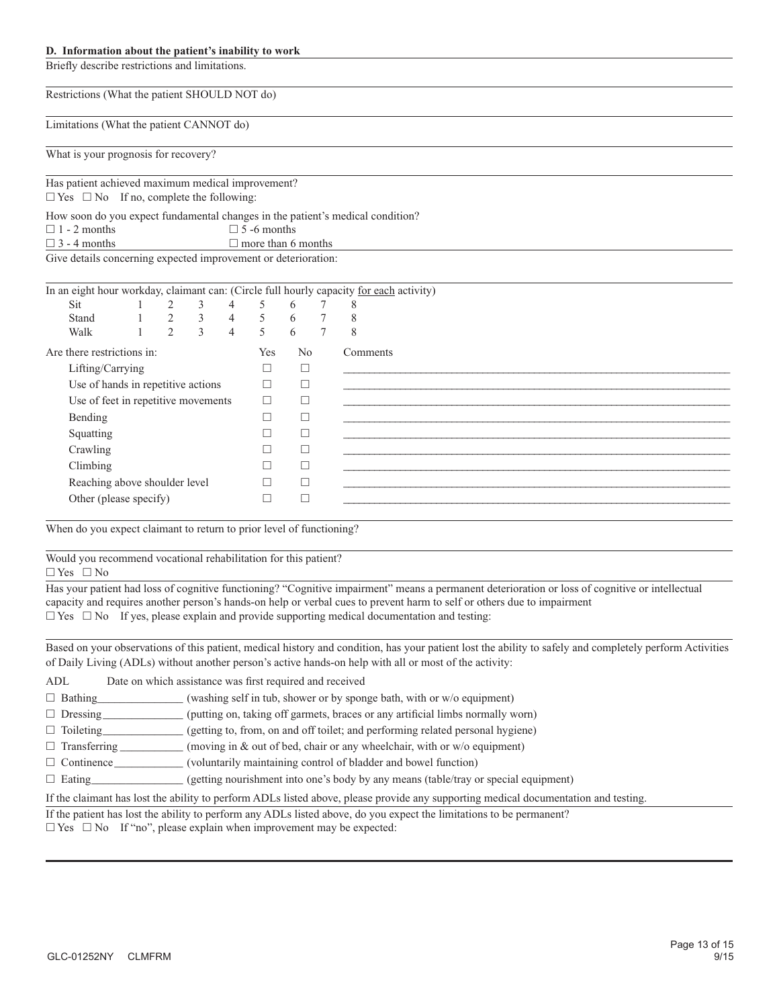#### **D. Information about the patient's inability to work**

Briefly describe restrictions and limitations.

Restrictions (What the patient SHOULD NOT do)

Limitations (What the patient CANNOT do)

What is your prognosis for recovery?

Has patient achieved maximum medical improvement?

 $\Box$  Yes  $\Box$  No If no, complete the following:

How soon do you expect fundamental changes in the patient's medical condition?

 $\Box$  1 - 2 months  $\Box$  5 -6 months

 $\Box$  3 - 4 months  $\Box$  more than 6 months

Give details concerning expected improvement or deterioration:

| In an eight hour workday, claimant can: (Circle full hourly capacity for each activity) |  |                |               |                |              |                |          |
|-----------------------------------------------------------------------------------------|--|----------------|---------------|----------------|--------------|----------------|----------|
| Sit                                                                                     |  | 2              | 3             | 4              | 5            | 6              | 8        |
| Stand                                                                                   |  | 2              | 3             | $\overline{4}$ | 5            | 6              | 8        |
| Walk                                                                                    |  | $\mathfrak{D}$ | $\mathcal{E}$ | $\overline{4}$ | 5            | 6              | 8        |
| Are there restrictions in:                                                              |  |                |               |                | Yes          | N <sub>0</sub> | Comments |
| Lifting/Carrying                                                                        |  |                |               |                | L            |                |          |
| Use of hands in repetitive actions                                                      |  |                |               |                | П            | □              |          |
| Use of feet in repetitive movements                                                     |  | П              |               |                |              |                |          |
| Bending                                                                                 |  |                |               |                | π            |                |          |
| Squatting                                                                               |  |                |               |                |              |                |          |
| Crawling                                                                                |  |                |               |                |              |                |          |
| Climbing                                                                                |  |                |               |                | $\mathbf{L}$ |                |          |
| Reaching above shoulder level                                                           |  |                |               |                |              | $\Box$         |          |
| Other (please specify)                                                                  |  |                |               |                |              |                |          |

When do you expect claimant to return to prior level of functioning?

Would you recommend vocational rehabilitation for this patient?

 $\Box$  Yes  $\Box$  No

Has your patient had loss of cognitive functioning? "Cognitive impairment" means a permanent deterioration or loss of cognitive or intellectual capacity and requires another person's hands-on help or verbal cues to prevent harm to self or others due to impairment  $\Box$  Yes  $\Box$  No If yes, please explain and provide supporting medical documentation and testing:

Based on your observations of this patient, medical history and condition, has your patient lost the ability to safely and completely perform Activities of Daily Living (ADLs) without another person's active hands-on help with all or most of the activity:

| ADL                 | Date on which assistance was first required and received                                                                           |
|---------------------|------------------------------------------------------------------------------------------------------------------------------------|
| $\Box$ Bathing      | (washing self in tub, shower or by sponge bath, with or w/o equipment)                                                             |
| $\Box$ Dressing     | (putting on, taking off garmets, braces or any artificial limbs normally worn)                                                     |
| $\Box$ Toileting    | (getting to, from, on and off toilet; and performing related personal hygiene)                                                     |
| $\Box$ Transferring | (moving in & out of bed, chair or any wheelchair, with or w/o equipment)                                                           |
| $\Box$ Continence   | (voluntarily maintaining control of bladder and bowel function)                                                                    |
| $\Box$ Eating       | (getting nourishment into one's body by any means (table/tray or special equipment)                                                |
|                     | If the claimant has lost the ability to perform ADLs listed above, please provide any supporting medical documentation and testing |

If the patient has lost the ability to perform any ADLs listed above, do you expect the limitations to be permanent?

 $\Box$  Yes  $\Box$  No If "no", please explain when improvement may be expected: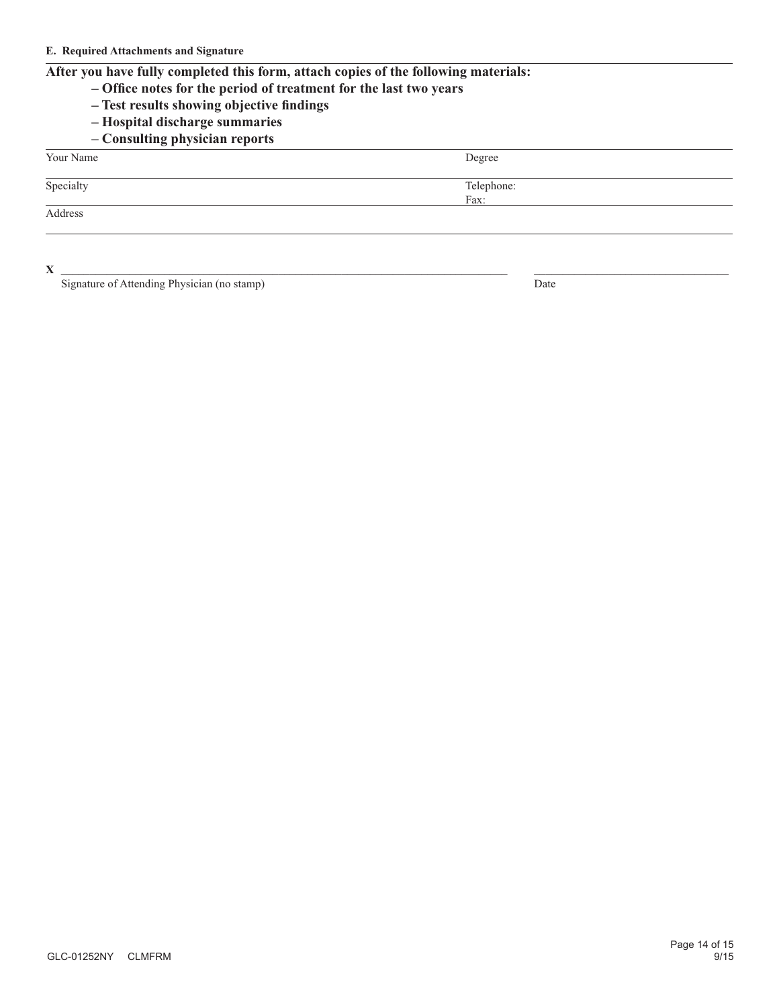### **After you have fully completed this form, attach copies of the following materials:**

- **Office notes for the period of treatment for the last two years**
- **Test results showing objective findings**
- **Hospital discharge summaries**
- **Consulting physician reports**

Your Name Degree

Specialty Telephone:

Address

 $X \xrightarrow{1}$ 

Signature of Attending Physician (no stamp)  $\overline{Date}$ 

Fax: